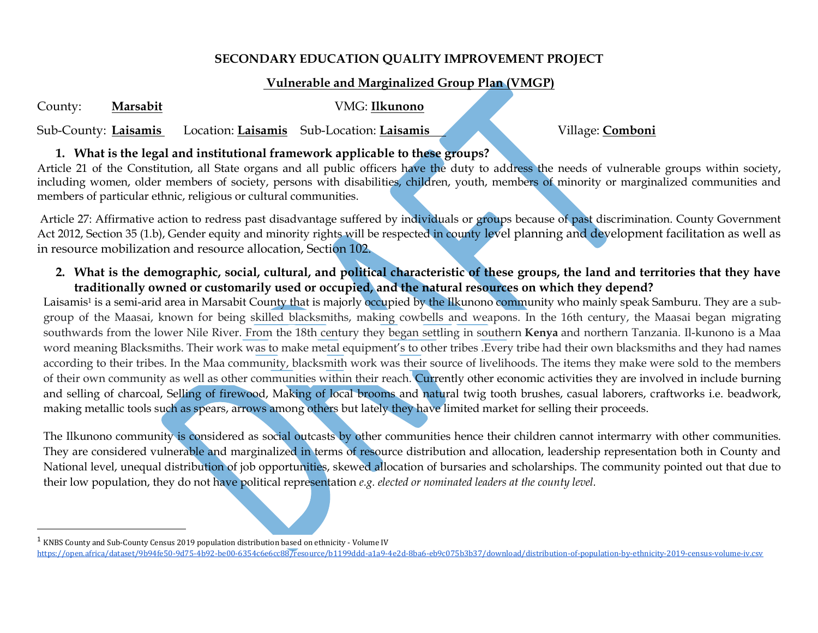#### **SECONDARY EDUCATION QUALITY IMPROVEMENT PROJECT**

# **Vulnerable and Marginalized Group Plan (VMGP)**

County: **Marsabit** VMG: **Ilkunono**

 $\overline{\phantom{a}}$ 

Sub-County: **Laisamis** Location: **Laisamis** Sub-Location: **Laisamis** Village: **Comboni**

### **1. What is the legal and institutional framework applicable to these groups?**

Article 21 of the Constitution, all State organs and all public officers have the duty to address the needs of vulnerable groups within society, including women, older members of society, persons with disabilities, children, youth, members of minority or marginalized communities and members of particular ethnic, religious or cultural communities.

Article 27: Affirmative action to redress past disadvantage suffered by individuals or groups because of past discrimination. County Government Act 2012, Section 35 (1.b), Gender equity and minority rights will be respected in county level planning and development facilitation as well as in resource mobilization and resource allocation, Section 102.

**2. What is the demographic, social, cultural, and political characteristic of these groups, the land and territories that they have traditionally owned or customarily used or occupied, and the natural resources on which they depend?**

Laisamis<sup>1</sup> is a semi-arid area in Marsabit County that is majorly occupied by the Ilkunono community who mainly speak Samburu. They are a subgroup of the Maasai, known for being skilled blacksmiths, making cowbells and weapons. In the 16th century, the Maasai began migrating southwards from the lower Nile River. From the 18th century they began settling in southern **Kenya** and northern Tanzania. Il-kunono is a Maa word meaning Blacksmiths. Their work was to make metal equipment's to other tribes .Every tribe had their own blacksmiths and they had names according to their tribes. In the Maa community, blacksmith work was their source of livelihoods. The items they make were sold to the members of their own community as well as other communities within their reach. Currently other economic activities they are involved in include burning and selling of charcoal, Selling of firewood, Making of local brooms and natural twig tooth brushes, casual laborers, craftworks i.e. beadwork, making metallic tools such as spears, arrows among others but lately they have limited market for selling their proceeds.

The Ilkunono community is considered as social outcasts by other communities hence their children cannot intermarry with other communities. They are considered vulnerable and marginalized in terms of resource distribution and allocation, leadership representation both in County and National level, unequal distribution of job opportunities, skewed allocation of bursaries and scholarships. The community pointed out that due to their low population, they do not have political representation *e.g. elected or nominated leaders at the county level.* 

 $^1$  KNBS County and Sub-County Census 2019 population distribution based on ethnicity - Volume IV <https://open.africa/dataset/9b94fe50-9d75-4b92-be00-6354c6e6cc88/resource/b1199ddd-a1a9-4e2d-8ba6-eb9c075b3b37/download/distribution-of-population-by-ethnicity-2019-census-volume-iv.csv>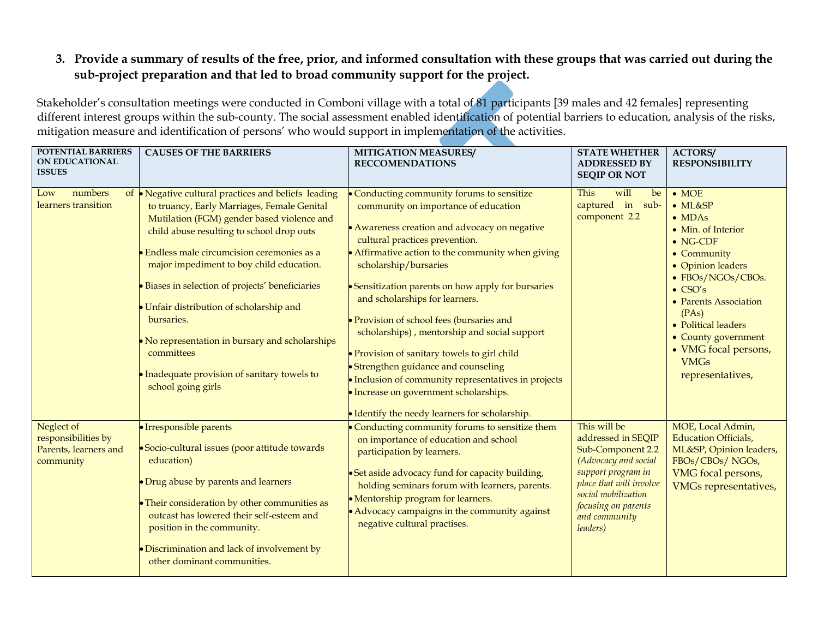# **3. Provide a summary of results of the free, prior, and informed consultation with these groups that was carried out during the sub-project preparation and that led to broad community support for the project.**

Stakeholder's consultation meetings were conducted in Comboni village with a total of 81 participants [39 males and 42 females] representing different interest groups within the sub-county. The social assessment enabled identification of potential barriers to education, analysis of the risks, mitigation measure and identification of persons' who would support in implementation of the activities.

| <b>POTENTIAL BARRIERS</b><br><b>ON EDUCATIONAL</b><br><b>ISSUES</b>     | <b>CAUSES OF THE BARRIERS</b>                                                                                                                                                                                                                                                                                                                                                                                                                                                                                                      | <b>MITIGATION MEASURES/</b><br><b>RECCOMENDATIONS</b>                                                                                                                                                                                                                                                                                                                                                                                                                                                                                                                                                                            | <b>STATE WHETHER</b><br><b>ADDRESSED BY</b><br><b>SEQIP OR NOT</b>                                                                                                                                          | <b>ACTORS/</b><br><b>RESPONSIBILITY</b>                                                                                                                                                                                                                                                                             |
|-------------------------------------------------------------------------|------------------------------------------------------------------------------------------------------------------------------------------------------------------------------------------------------------------------------------------------------------------------------------------------------------------------------------------------------------------------------------------------------------------------------------------------------------------------------------------------------------------------------------|----------------------------------------------------------------------------------------------------------------------------------------------------------------------------------------------------------------------------------------------------------------------------------------------------------------------------------------------------------------------------------------------------------------------------------------------------------------------------------------------------------------------------------------------------------------------------------------------------------------------------------|-------------------------------------------------------------------------------------------------------------------------------------------------------------------------------------------------------------|---------------------------------------------------------------------------------------------------------------------------------------------------------------------------------------------------------------------------------------------------------------------------------------------------------------------|
| numbers<br>Low<br>learners transition                                   | of Negative cultural practices and beliefs leading<br>to truancy, Early Marriages, Female Genital<br>Mutilation (FGM) gender based violence and<br>child abuse resulting to school drop outs<br>Endless male circumcision ceremonies as a<br>major impediment to boy child education.<br>Biases in selection of projects' beneficiaries<br>Unfair distribution of scholarship and<br>bursaries.<br>No representation in bursary and scholarships<br>committees<br>Inadequate provision of sanitary towels to<br>school going girls | Conducting community forums to sensitize<br>community on importance of education<br>• Awareness creation and advocacy on negative<br>cultural practices prevention.<br>• Affirmative action to the community when giving<br>scholarship/bursaries<br>• Sensitization parents on how apply for bursaries<br>and scholarships for learners.<br>• Provision of school fees (bursaries and<br>scholarships), mentorship and social support<br>• Provision of sanitary towels to girl child<br>• Strengthen guidance and counseling<br>· Inclusion of community representatives in projects<br>· Increase on government scholarships. | will<br>This<br>be<br>captured in sub-<br>component 2.2                                                                                                                                                     | $\bullet$ MOE<br>$\bullet$ ML&SP<br>$\bullet$ MDAs<br>• Min. of Interior<br>$\bullet$ NG-CDF<br>• Community<br>• Opinion leaders<br>• FBOs/NGOs/CBOs.<br>$\bullet$ CSO's<br>• Parents Association<br>(PAs)<br>• Political leaders<br>• County government<br>• VMG focal persons,<br><b>VMGs</b><br>representatives, |
| Neglect of<br>responsibilities by<br>Parents, learners and<br>community | · Irresponsible parents<br>• Socio-cultural issues (poor attitude towards<br>education)<br>• Drug abuse by parents and learners<br>• Their consideration by other communities as<br>outcast has lowered their self-esteem and<br>position in the community.<br>Discrimination and lack of involvement by<br>other dominant communities.                                                                                                                                                                                            | • Identify the needy learners for scholarship.<br>Conducting community forums to sensitize them<br>on importance of education and school<br>participation by learners.<br>• Set aside advocacy fund for capacity building,<br>holding seminars forum with learners, parents.<br>• Mentorship program for learners.<br>• Advocacy campaigns in the community against<br>negative cultural practises.                                                                                                                                                                                                                              | This will be<br>addressed in SEQIP<br>Sub-Component 2.2<br>(Advocacy and social<br>support program in<br>place that will involve<br>social mobilization<br>focusing on parents<br>and community<br>leaders) | MOE, Local Admin,<br><b>Education Officials,</b><br>ML&SP, Opinion leaders,<br>FBOs/CBOs/NGOs,<br>VMG focal persons,<br><b>VMGs representatives,</b>                                                                                                                                                                |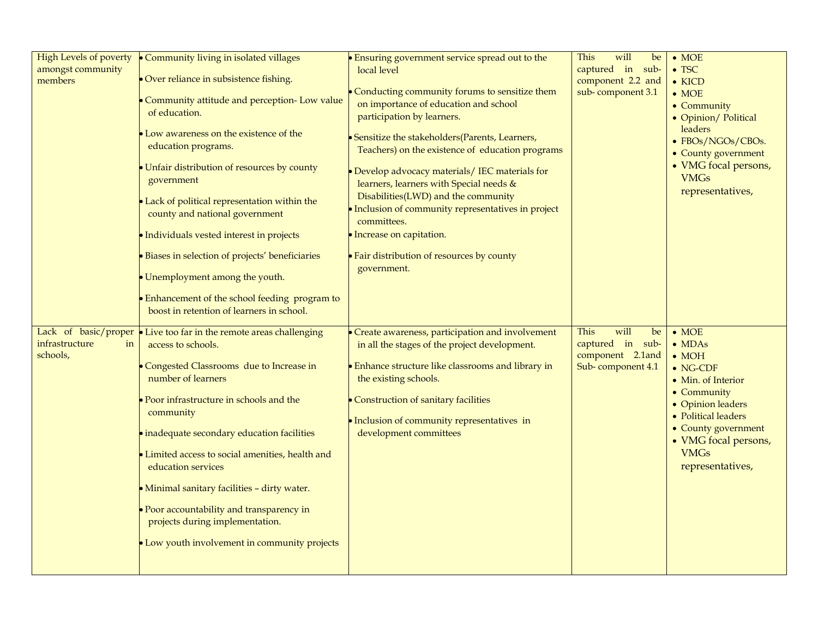| <b>High Levels of poverty</b><br>amongst community<br>members | Community living in isolated villages<br>Over reliance in subsistence fishing.<br>Community attitude and perception- Low value<br>of education.<br>Low awareness on the existence of the<br>education programs.<br>Unfair distribution of resources by county<br>government<br>Lack of political representation within the<br>county and national government<br>Individuals vested interest in projects<br>Biases in selection of projects' beneficiaries<br>Unemployment among the youth.<br>Enhancement of the school feeding program to<br>boost in retention of learners in school. | • Ensuring government service spread out to the<br>local level<br>Conducting community forums to sensitize them<br>on importance of education and school<br>participation by learners.<br>• Sensitize the stakeholders(Parents, Learners,<br>Teachers) on the existence of education programs<br>• Develop advocacy materials/ IEC materials for<br>learners, learners with Special needs &<br>Disabilities(LWD) and the community<br>• Inclusion of community representatives in project<br>committees.<br>· Increase on capitation.<br>• Fair distribution of resources by county<br>government. | will<br>This<br>be<br>captured in sub-<br>component 2.2 and<br>sub-component 3.1       | $\bullet$ MOE<br>$\bullet$ TSC<br>$\bullet$ KICD<br>$\bullet$ MOE<br>• Community<br>• Opinion/ Political<br>leaders<br>• FBOs/NGOs/CBOs.<br>• County government<br>• VMG focal persons,<br><b>VMGs</b><br>representatives,              |
|---------------------------------------------------------------|-----------------------------------------------------------------------------------------------------------------------------------------------------------------------------------------------------------------------------------------------------------------------------------------------------------------------------------------------------------------------------------------------------------------------------------------------------------------------------------------------------------------------------------------------------------------------------------------|----------------------------------------------------------------------------------------------------------------------------------------------------------------------------------------------------------------------------------------------------------------------------------------------------------------------------------------------------------------------------------------------------------------------------------------------------------------------------------------------------------------------------------------------------------------------------------------------------|----------------------------------------------------------------------------------------|-----------------------------------------------------------------------------------------------------------------------------------------------------------------------------------------------------------------------------------------|
| Lack of basic/proper<br>infrastructure<br>in<br>schools,      | Live too far in the remote areas challenging<br>access to schools.<br>Congested Classrooms due to Increase in<br>number of learners<br>Poor infrastructure in schools and the<br>community<br>inadequate secondary education facilities<br>Limited access to social amenities, health and<br>education services<br>Minimal sanitary facilities - dirty water.<br>Poor accountability and transparency in<br>projects during implementation.<br>Low youth involvement in community projects                                                                                              | Create awareness, participation and involvement<br>in all the stages of the project development.<br><b>Enhance structure like classrooms and library in</b><br>the existing schools.<br>Construction of sanitary facilities<br>• Inclusion of community representatives in<br>development committees                                                                                                                                                                                                                                                                                               | will<br><b>This</b><br>be<br>captured in sub-<br>component 2.1and<br>Sub-component 4.1 | $\bullet$ MOE<br>$\bullet$ MDAs<br>$\bullet$ MOH<br>$\bullet$ NG-CDF<br>• Min. of Interior<br>• Community<br>• Opinion leaders<br>• Political leaders<br>• County government<br>• VMG focal persons,<br><b>VMGs</b><br>representatives, |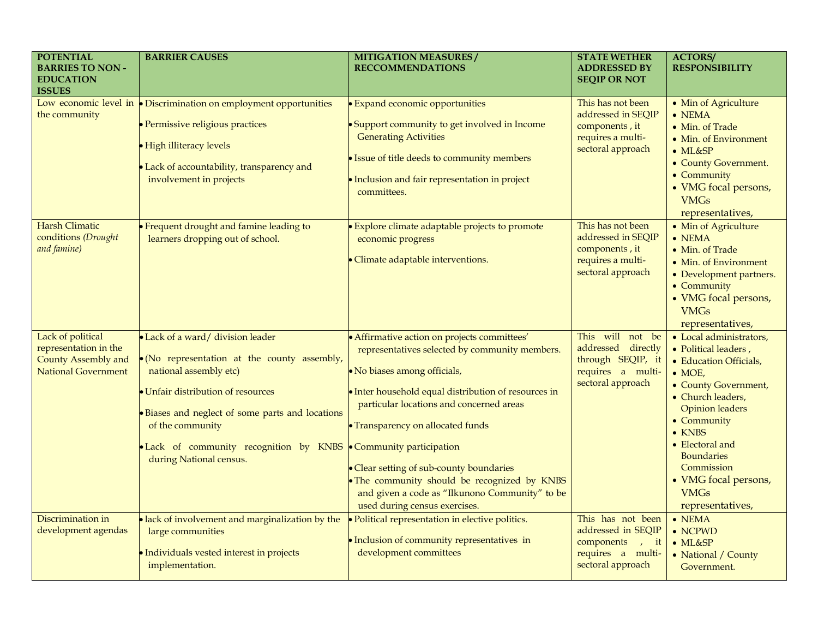| <b>POTENTIAL</b><br><b>BARRIES TO NON-</b><br><b>EDUCATION</b><br><b>ISSUES</b>                 | <b>BARRIER CAUSES</b>                                                                                                                                                                                                                                                                                             | <b>MITIGATION MEASURES/</b><br><b>RECCOMMENDATIONS</b>                                                                                                                                                                                                                                                                                                                                                                                                 | <b>STATE WETHER</b><br><b>ADDRESSED BY</b><br><b>SEQIP OR NOT</b>                                                      | <b>ACTORS/</b><br><b>RESPONSIBILITY</b>                                                                                                                                                                                                                                                                              |
|-------------------------------------------------------------------------------------------------|-------------------------------------------------------------------------------------------------------------------------------------------------------------------------------------------------------------------------------------------------------------------------------------------------------------------|--------------------------------------------------------------------------------------------------------------------------------------------------------------------------------------------------------------------------------------------------------------------------------------------------------------------------------------------------------------------------------------------------------------------------------------------------------|------------------------------------------------------------------------------------------------------------------------|----------------------------------------------------------------------------------------------------------------------------------------------------------------------------------------------------------------------------------------------------------------------------------------------------------------------|
| Low economic level in<br>the community                                                          | • Discrimination on employment opportunities<br>Permissive religious practices<br><b>High illiteracy levels</b><br>Lack of accountability, transparency and<br>involvement in projects                                                                                                                            | <b>Expand economic opportunities</b><br>• Support community to get involved in Income<br><b>Generating Activities</b><br>· Issue of title deeds to community members<br>· Inclusion and fair representation in project<br>committees.                                                                                                                                                                                                                  | This has not been<br>addressed in SEQIP<br>components, it<br>requires a multi-<br>sectoral approach                    | • Min of Agriculture<br>$\bullet$ NEMA<br>• Min. of Trade<br>• Min. of Environment<br>$\bullet$ ML&SP<br>• County Government.<br>• Community<br>• VMG focal persons,<br><b>VMGs</b><br>representatives,                                                                                                              |
| <b>Harsh Climatic</b><br>conditions (Drought<br>and famine)                                     | Frequent drought and famine leading to<br>learners dropping out of school.                                                                                                                                                                                                                                        | Explore climate adaptable projects to promote<br>economic progress<br>Climate adaptable interventions.                                                                                                                                                                                                                                                                                                                                                 | This has not been<br>addressed in SEQIP<br>components, it<br>requires a multi-<br>sectoral approach                    | • Min of Agriculture<br>$\bullet$ NEMA<br>• Min. of Trade<br>• Min. of Environment<br>• Development partners.<br>• Community<br>• VMG focal persons,<br><b>VMGs</b><br>representatives,                                                                                                                              |
| Lack of political<br>representation in the<br>County Assembly and<br><b>National Government</b> | • Lack of a ward/ division leader<br>· (No representation at the county assembly,<br>national assembly etc)<br>Unfair distribution of resources<br>Biases and neglect of some parts and locations<br>of the community<br>Lack of community recognition by KNBS Community participation<br>during National census. | • Affirmative action on projects committees'<br>representatives selected by community members.<br>• No biases among officials,<br>• Inter household equal distribution of resources in<br>particular locations and concerned areas<br>• Transparency on allocated funds<br>• Clear setting of sub-county boundaries<br>· The community should be recognized by KNBS<br>and given a code as "Ilkunono Community" to be<br>used during census exercises. | This will not be<br>addressed directly<br>through SEQIP, it<br>requires a multi-<br>sectoral approach                  | • Local administrators,<br>• Political leaders,<br>• Education Officials,<br>$\bullet$ MOE,<br>• County Government,<br>• Church leaders,<br><b>Opinion</b> leaders<br>• Community<br>$\bullet$ KNBS<br>• Electoral and<br><b>Boundaries</b><br>Commission<br>• VMG focal persons,<br><b>VMGs</b><br>representatives, |
| Discrimination in<br>development agendas                                                        | lack of involvement and marginalization by the<br>large communities<br>Individuals vested interest in projects<br>implementation.                                                                                                                                                                                 | Political representation in elective politics.<br>· Inclusion of community representatives in<br>development committees                                                                                                                                                                                                                                                                                                                                | This has not been<br>addressed in SEQIP<br>components<br>$\overline{ }$ , it<br>requires a multi-<br>sectoral approach | $\bullet$ NEMA<br>$\bullet$ NCPWD<br>$\bullet$ ML&SP<br>• National / County<br>Government.                                                                                                                                                                                                                           |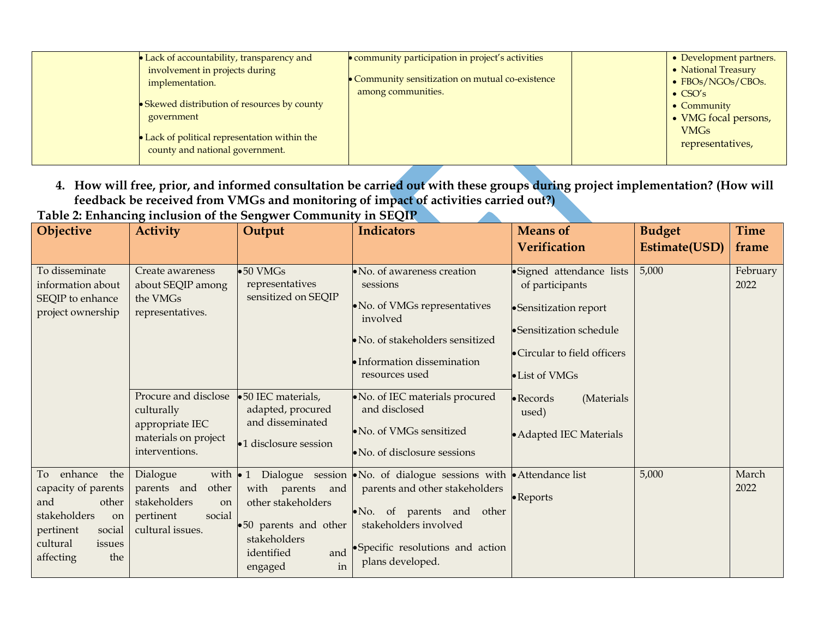| • Lack of accountability, transparency and<br>involvement in projects during<br>implementation.<br>• Skewed distribution of resources by county<br>government<br>Lack of political representation within the<br>county and national government. | • community participation in project's activities<br>Community sensitization on mutual co-existence<br>among communities. | • Development partners.<br>• National Treasury<br>• FBOs/NGOs/CBOs.<br>$\bullet$ CSO's<br>$\bullet$ Community<br>• VMG focal persons,<br><b>VMGs</b><br>representatives, |
|-------------------------------------------------------------------------------------------------------------------------------------------------------------------------------------------------------------------------------------------------|---------------------------------------------------------------------------------------------------------------------------|--------------------------------------------------------------------------------------------------------------------------------------------------------------------------|
|-------------------------------------------------------------------------------------------------------------------------------------------------------------------------------------------------------------------------------------------------|---------------------------------------------------------------------------------------------------------------------------|--------------------------------------------------------------------------------------------------------------------------------------------------------------------------|

**4. How will free, prior, and informed consultation be carried out with these groups during project implementation? (How will feedback be received from VMGs and monitoring of impact of activities carried out?) Table 2: Enhancing inclusion of the Sengwer Community in SEQIP**  $\overline{\phantom{a}}$ 

| 1 W.V. 20 LIBRARY<br>Objective                                                                                                                     | <b>Activity</b>                                                                                                       | $\mathbf{r}_{\mathbf{S}}$ increased of the sengment community in sequent<br>Output                                    | <b>Indicators</b>                                                                                                                                                                                                                 | <b>Means of</b><br><b>Verification</b>                                                                                                              | <b>Budget</b><br>Estimate(USD) | <b>Time</b><br>frame |
|----------------------------------------------------------------------------------------------------------------------------------------------------|-----------------------------------------------------------------------------------------------------------------------|-----------------------------------------------------------------------------------------------------------------------|-----------------------------------------------------------------------------------------------------------------------------------------------------------------------------------------------------------------------------------|-----------------------------------------------------------------------------------------------------------------------------------------------------|--------------------------------|----------------------|
| To disseminate<br>information about<br>SEQIP to enhance<br>project ownership                                                                       | Create awareness<br>about SEQIP among<br>the VMGs<br>representatives.                                                 | $\bullet 50$ VMGs<br>representatives<br>sensitized on SEQIP                                                           | No. of awareness creation<br>sessions<br>• No. of VMGs representatives<br>involved<br>No. of stakeholders sensitized<br>• Information dissemination<br>resources used                                                             | • Signed attendance lists<br>of participants<br>•Sensitization report<br>• Sensitization schedule<br>• Circular to field officers<br>• List of VMGs | 5,000                          | February<br>2022     |
|                                                                                                                                                    | Procure and disclose<br>culturally<br>appropriate IEC<br>materials on project<br>interventions.                       | •50 IEC materials,<br>adapted, procured<br>and disseminated<br>•1 disclosure session                                  | No. of IEC materials procured<br>and disclosed<br>· No. of VMGs sensitized<br>$\bullet$ No. of disclosure sessions                                                                                                                | $\bullet$ Records<br>(Materials<br>used)<br>• Adapted IEC Materials                                                                                 |                                |                      |
| enhance<br>the<br>To<br>capacity of parents<br>and<br>other<br>stakeholders<br>on<br>pertinent<br>social<br>cultural<br>issues<br>the<br>affecting | Dialogue<br>with $\bullet$ 1<br>other<br>parents and<br>stakeholders<br>on<br>social<br>pertinent<br>cultural issues. | with parents and<br>other stakeholders<br>•50 parents and other<br>stakeholders<br>identified<br>and<br>in<br>engaged | Dialogue session $\bullet$ No. of dialogue sessions with $\bullet$ Attendance list<br>parents and other stakeholders<br>No. of parents and other<br>stakeholders involved<br>•Specific resolutions and action<br>plans developed. | • Reports                                                                                                                                           | 5,000                          | March<br>2022        |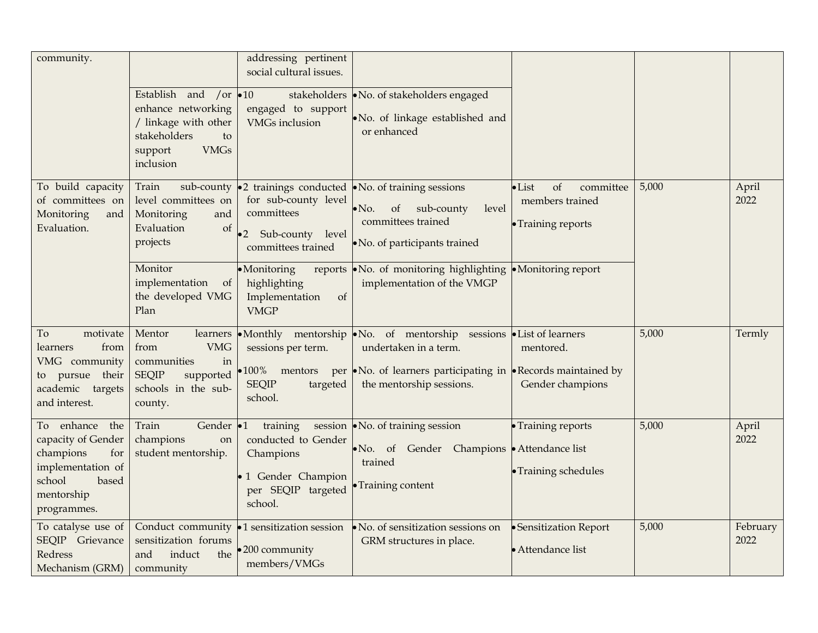| community.                                                                                                                       | Establish and /or 010<br>enhance networking<br>/ linkage with other<br>stakeholders<br>to<br>support<br><b>VMGs</b><br>inclusion | addressing pertinent<br>social cultural issues.<br>engaged to support<br><b>VMGs</b> inclusion     | stakeholders • No. of stakeholders engaged<br>. No. of linkage established and<br>or enhanced                                                                                          |                                                                            |       |                  |
|----------------------------------------------------------------------------------------------------------------------------------|----------------------------------------------------------------------------------------------------------------------------------|----------------------------------------------------------------------------------------------------|----------------------------------------------------------------------------------------------------------------------------------------------------------------------------------------|----------------------------------------------------------------------------|-------|------------------|
| To build capacity<br>of committees on<br>Monitoring<br>and<br>Evaluation.                                                        | Train<br>level committees on<br>Monitoring<br>and<br>Evaluation<br>of<br>projects                                                | for sub-county level<br>committees<br>Sub-county level<br>$\bullet$ 2<br>committees trained        | sub-county $\bullet$ 2 trainings conducted $\bullet$ No. of training sessions<br>level<br>of<br>sub-county<br>$\bullet$ No.<br>committees trained<br>• No. of participants trained     | $\bullet$ List<br>of<br>committee<br>members trained<br>• Training reports | 5,000 | April<br>2022    |
|                                                                                                                                  | Monitor<br>implementation<br>of<br>the developed VMG<br>Plan                                                                     | ·Monitoring<br>reports<br>highlighting<br>Implementation<br>of<br><b>VMGP</b>                      | $\bullet$ No. of monitoring highlighting $\bullet$ Monitoring report<br>implementation of the VMGP                                                                                     |                                                                            |       |                  |
| To<br>motivate<br>from<br>learners<br>VMG community<br>to pursue their<br>academic targets<br>and interest.                      | Mentor<br>learners<br><b>VMG</b><br>from<br>communities<br>in<br><b>SEQIP</b><br>supported<br>schools in the sub-<br>county.     | sessions per term.<br>•100% mentors<br><b>SEQIP</b><br>targeted<br>school.                         | •Monthly mentorship •No. of mentorship sessions •List of learners<br>undertaken in a term.<br>per •No. of learners participating in •Records maintained by<br>the mentorship sessions. | mentored.<br>Gender champions                                              | 5,000 | Termly           |
| To enhance<br>the<br>capacity of Gender<br>champions<br>for<br>implementation of<br>school<br>based<br>mentorship<br>programmes. | Gender •1<br>Train<br>champions<br>on<br>student mentorship.                                                                     | training<br>conducted to Gender<br>Champions<br>1 Gender Champion<br>per SEQIP targeted<br>school. | session • No. of training session<br>• No. of Gender Champions • Attendance list<br>trained<br>• Training content                                                                      | • Training reports<br>• Training schedules                                 | 5,000 | April<br>2022    |
| To catalyse use of<br>SEQIP Grievance<br>Redress<br>Mechanism (GRM)                                                              | Conduct community<br>sensitization forums<br>induct<br>and<br>the<br>community                                                   | $\bullet$ 1 sensitization session<br>200 community<br>members/VMGs                                 | No. of sensitization sessions on<br>GRM structures in place.                                                                                                                           | • Sensitization Report<br>· Attendance list                                | 5,000 | February<br>2022 |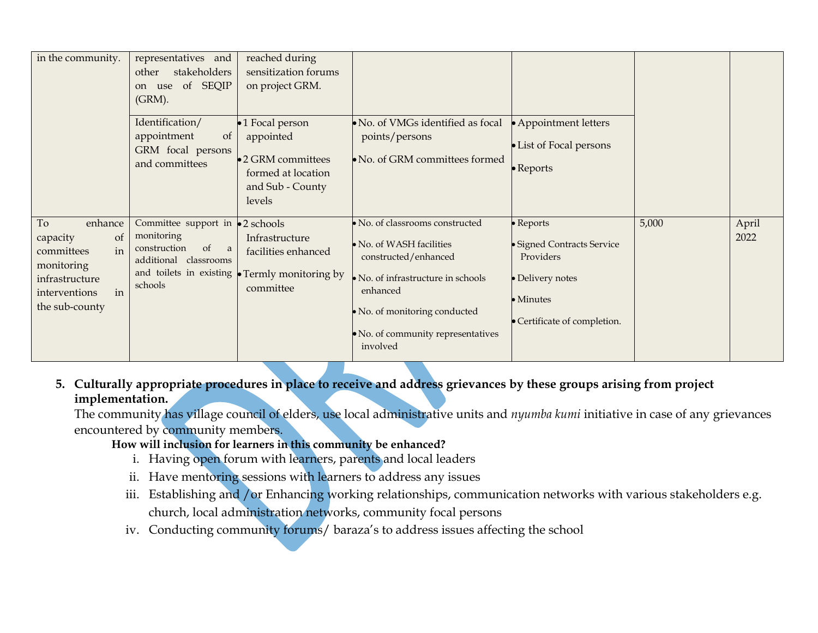| in the community.                                                                                                                       | representatives and<br>stakeholders<br>other<br>of SEQIP<br>use<br><sub>on</sub><br>(GRM).                                              | reached during<br>sensitization forums<br>on project GRM.                                             |                                                                                                                                                                                                                    |                                                                                                                       |       |               |
|-----------------------------------------------------------------------------------------------------------------------------------------|-----------------------------------------------------------------------------------------------------------------------------------------|-------------------------------------------------------------------------------------------------------|--------------------------------------------------------------------------------------------------------------------------------------------------------------------------------------------------------------------|-----------------------------------------------------------------------------------------------------------------------|-------|---------------|
|                                                                                                                                         | Identification/<br>appointment<br><sub>of</sub><br>GRM focal persons<br>and committees                                                  | •1 Focal person<br>appointed<br>•2 GRM committees<br>formed at location<br>and Sub - County<br>levels | No. of VMGs identified as focal<br>points/persons<br>No. of GRM committees formed                                                                                                                                  | • Appointment letters<br>• List of Focal persons<br>$\bullet$ Reports                                                 |       |               |
| enhance<br>To<br><sub>of</sub><br>capacity<br>in<br>committees<br>monitoring<br>infrastructure<br>in<br>interventions<br>the sub-county | Committee support in<br>monitoring<br>of<br>construction<br><sub>a</sub><br>additional classrooms<br>and toilets in existing<br>schools | •2 schools<br>Infrastructure<br>facilities enhanced<br>• Termly monitoring by<br>committee            | No. of classrooms constructed<br>No. of WASH facilities<br>constructed/enhanced<br>No. of infrastructure in schools<br>enhanced<br>· No. of monitoring conducted<br>· No. of community representatives<br>involved | · Reports<br>· Signed Contracts Service<br>Providers<br>· Delivery notes<br>• Minutes<br>• Certificate of completion. | 5,000 | April<br>2022 |

### **5. Culturally appropriate procedures in place to receive and address grievances by these groups arising from project implementation.**

The community has village council of elders, use local administrative units and *nyumba kumi* initiative in case of any grievances encountered by community members.

# **How will inclusion for learners in this community be enhanced?**

- i. Having open forum with learners, parents and local leaders
- ii. Have mentoring sessions with learners to address any issues
- iii. Establishing and /or Enhancing working relationships, communication networks with various stakeholders e.g. church, local administration networks, community focal persons
- iv. Conducting community forums/ baraza's to address issues affecting the school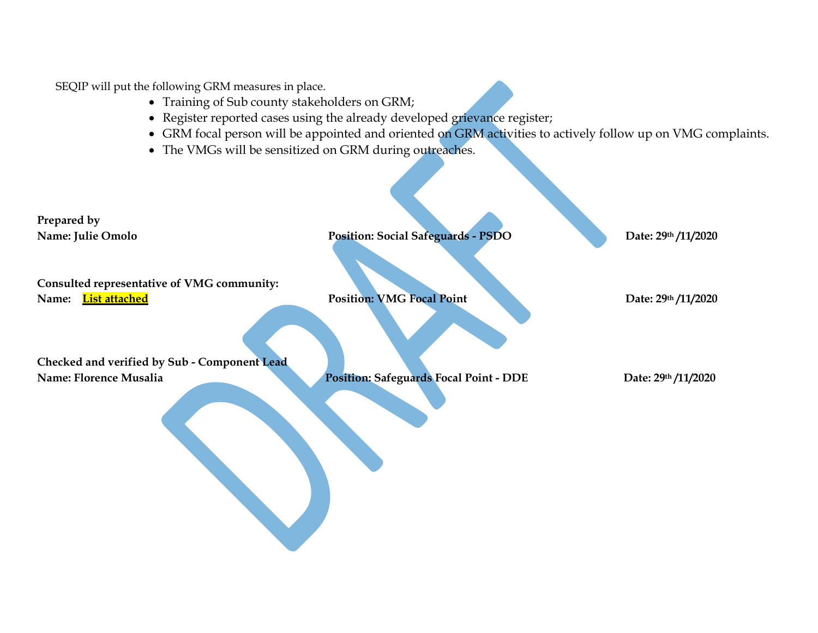SEQIP will put the following GRM measures in place.

- Training of Sub county stakeholders on GRM;
- Register reported cases using the already developed grievance register;
- GRM focal person will be appointed and oriented on GRM activities to actively follow up on VMG complaints.
- The VMGs will be sensitized on GRM during outreaches.

**Prepared by Name: Julie Omolo Position: Social Safeguards - <b>PSDO** Date: 29<sup>th</sup> /11/2020 **Consulted representative of VMG community: Name:** List attached **Position: VMG Focal Point** Date: 29<sup>th</sup> /11/2020 **Checked and verified by Sub - Component Lead Name:** Florence Musalia Position: Safeguards Focal Point - DDE Date: 29<sup>th</sup> /11/2020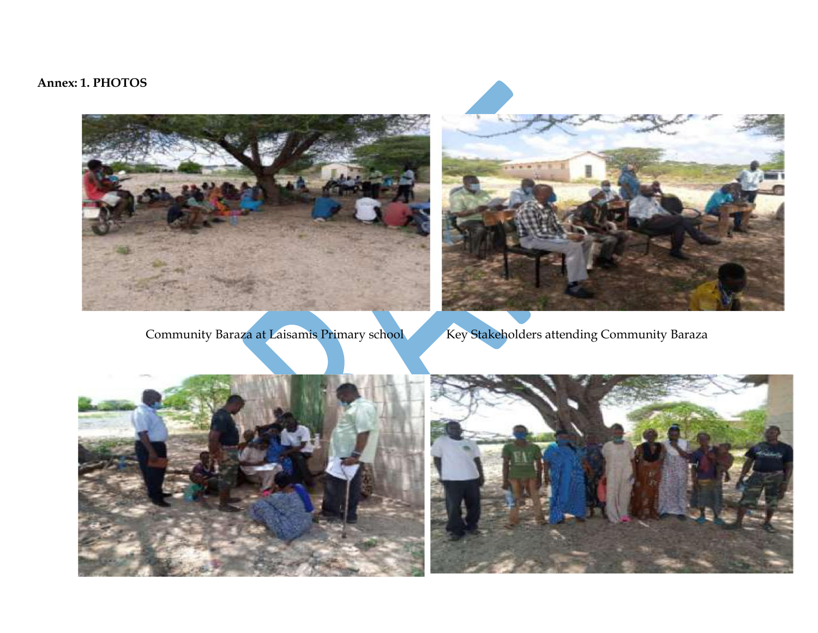# **Annex: 1. PHOTOS**





Community Baraza at Laisamis Primary school Key Stakeholders attending Community Baraza

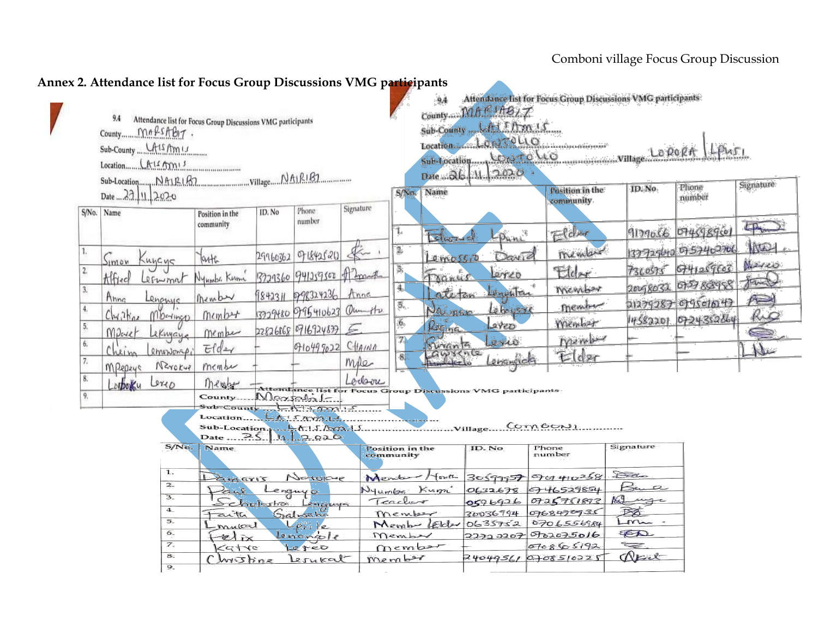|          | Date  22. 11. 2020                                |                                    |        |                                                  |                |                              | S/No. Name                     | Date  26. 11 2020.                                           | Position in the     | ID. No.                   | Phone<br>number                            | Signature        |
|----------|---------------------------------------------------|------------------------------------|--------|--------------------------------------------------|----------------|------------------------------|--------------------------------|--------------------------------------------------------------|---------------------|---------------------------|--------------------------------------------|------------------|
|          | S/No. Name                                        | Position in the<br>community       | ID. No | Phone:<br>number                                 | Signature      | 1.                           |                                |                                                              | community           |                           |                                            | $F_{\text{max}}$ |
| 1.       |                                                   | Tarth.                             |        | 29960362 971842520                               |                | 2,                           | L<br>emossio                   | LPuni<br>Danid                                               | $E$ lder<br>member  |                           | 9179056 0745989501<br>133729640 0757402706 | MARY             |
| $2\,$    | Kuycys<br>Simon<br>Alfred<br>Lerwmat              | Nyumba Kumi                        |        | 3729360 941259500 the Spand                      |                | 3.                           | Tranus                         | Lerco                                                        | Elder               |                           | 7360575 6741259603                         | Marco<br>fands   |
| 3.<br>4. | Anna<br>Lenannic                                  | Member                             |        | 1842311 1298324236                               | Anne           | 4.<br>5.                     | ateten                         | Legentre<br>Leboysise                                        | Member<br>member    |                           | 20098032 075788998<br>21279287 09501047    | $\approx$        |
| 5.       | $CM1$ $N_{az}$<br>Mberlings<br>MParet<br>LeKnyaye | member<br>Member                   |        | 3329480 0795410623 Que otr<br>228268689169248775 |                | 6.                           | Nai nan<br>$\mu_{\text{left}}$ | Laveo                                                        | member              |                           | 14582201 0724352864                        | <u>ho</u><br>ę   |
| 6.       | Chein<br>emonionas                                | Eddx                               |        | 01049902C                                        |                | 71<br>8.                     | Smants<br>Awsence              | evic<br>engrada                                              | member<br>Elder     |                           |                                            | Nu               |
| 7.<br>8. | NZrokup<br>MPepzys<br>Lerio<br>$\partial$         | member<br>Menghat                  |        |                                                  | mpe<br>Loclare |                              |                                |                                                              |                     |                           |                                            |                  |
| 9,       |                                                   | County.                            |        | Maxsala -<br>RISAMI-S                            |                |                              |                                | Attendance list for Focus Group Discussions VMG participants |                     |                           |                                            |                  |
|          |                                                   | Sub-Location.<br>Date  25.11.2.020 |        | $5.0003.1 -$<br>1.5.000.15                       |                |                              |                                |                                                              | Comboul             |                           |                                            |                  |
|          | S/No.                                             | Name                               |        |                                                  |                | Position in the<br>community |                                | ID. No                                                       | Phone<br>number     | Signature                 |                                            |                  |
|          | ъ.                                                | $L$ amarıs                         |        | Nerokye                                          |                | Mente<br>Nyumbe              | fouth                          |                                                              | $3059957$ 901410258 | Da<br>Ku<br>$\mathcal{D}$ |                                            |                  |
|          |                                                   |                                    |        |                                                  |                |                              |                                |                                                              |                     |                           |                                            |                  |

#### **Annex 2. Attendance list for Focus Group Discussions VMG participants**